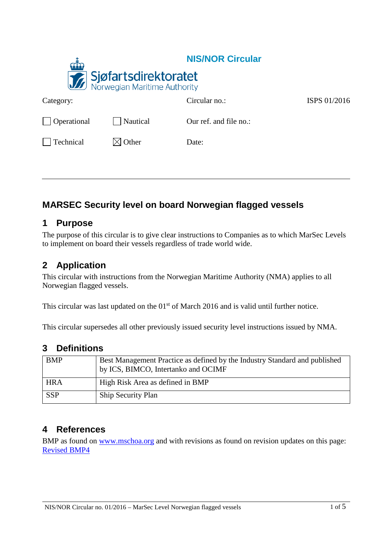|             |                                                             | <b>NIS/NOR Circular</b> |              |
|-------------|-------------------------------------------------------------|-------------------------|--------------|
|             | <b>Sjøfartsdirektoratet</b><br>Norwegian Maritime Authority |                         |              |
| Category:   |                                                             | Circular no.:           | ISPS 01/2016 |
| Operational | Nautical                                                    | Our ref. and file no.:  |              |
| Technical   | $\boxtimes$ Other                                           | Date:                   |              |
|             |                                                             |                         |              |

# **MARSEC Security level on board Norwegian flagged vessels**

## **1 Purpose**

The purpose of this circular is to give clear instructions to Companies as to which MarSec Levels to implement on board their vessels regardless of trade world wide.

## **2 Application**

This circular with instructions from the Norwegian Maritime Authority (NMA) applies to all Norwegian flagged vessels.

This circular was last updated on the  $01<sup>st</sup>$  of March 2016 and is valid until further notice.

This circular supersedes all other previously issued security level instructions issued by NMA.

### **3 Definitions**

| <b>BMP</b> | Best Management Practice as defined by the Industry Standard and published<br>by ICS, BIMCO, Intertanko and OCIMF |
|------------|-------------------------------------------------------------------------------------------------------------------|
| <b>HRA</b> | High Risk Area as defined in BMP                                                                                  |
| <b>SSP</b> | Ship Security Plan                                                                                                |

## **4 References**

BMP as found on [www.mschoa.org](http://www.mschoa.org/) and with revisions as found on revision updates on this page: [Revised BMP4](http://www.mschoa.org/docs/default-source/public-documents/revisedbmp4_sec2_guidance_practical_measures_20151008.pdf?sfvrsn=2)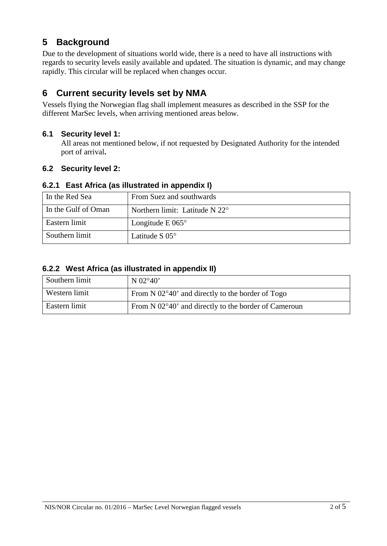## **5 Background**

Due to the development of situations world wide, there is a need to have all instructions with regards to security levels easily available and updated. The situation is dynamic, and may change rapidly. This circular will be replaced when changes occur.

## **6 Current security levels set by NMA**

Vessels flying the Norwegian flag shall implement measures as described in the SSP for the different MarSec levels, when arriving mentioned areas below.

#### **6.1 Security level 1:**

All areas not mentioned below, if not requested by Designated Authority for the intended port of arrival**.**

### **6.2 Security level 2:**

#### **6.2.1 East Africa (as illustrated in appendix I)**

| In the Red Sea      | From Suez and southwards                |
|---------------------|-----------------------------------------|
| In the Gulf of Oman | Northern limit: Latitude N $22^{\circ}$ |
| Eastern limit       | Longitude E $065^\circ$                 |
| Southern limit      | Latitude S $05^{\circ}$                 |

#### **6.2.2 West Africa (as illustrated in appendix II)**

| Southern limit | N $02^{\circ}40'$                                             |
|----------------|---------------------------------------------------------------|
| Western limit  | From N 02°40' and directly to the border of Togo              |
| Eastern limit  | From N $02^{\circ}40'$ and directly to the border of Cameroun |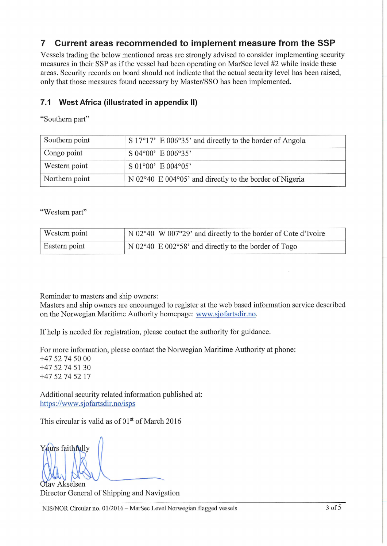#### $\overline{7}$ Current areas recommended to implement measure from the SSP

Vessels trading the below mentioned areas are strongly advised to consider implementing security measures in their SSP as if the vessel had been operating on MarSec level #2 while inside these areas. Security records on board should not indicate that the actual security level has been raised, only that those measures found necessary by Master/SSO has been implemented.

#### $7.1$ West Africa (illustrated in appendix II)

"Southern part"

| Southern point | $S$ 17°17' E 006°35' and directly to the border of Angola |
|----------------|-----------------------------------------------------------|
| Congo point    | $SO4^{\circ}00'$ E 006°35'                                |
| Western point  | $S$ 01°00' E 004°05'                                      |
| Northern point | N 02°40 E 004°05' and directly to the border of Nigeria   |

"Western part"

| <b>Western point</b> | N 02°40 W 007°29' and directly to the border of Cote d'Ivoire |
|----------------------|---------------------------------------------------------------|
| Eastern point        | $\vert$ N 02°40 E 002°58' and directly to the border of Togo  |

Reminder to masters and ship owners:

Masters and ship owners are encouraged to register at the web based information service described on the Norwegian Maritime Authority homepage: www.sjofartsdir.no.

If help is needed for registration, please contact the authority for guidance.

For more information, please contact the Norwegian Maritime Authority at phone:  $+4752745000$  $+4752745130$ +47 52 74 52 17

Additional security related information published at: https://www.sjofartsdir.no/isps

This circular is valid as of 01<sup>st</sup> of March 2016

Yours faithfully

Olav Akselsen Director General of Shipping and Navigation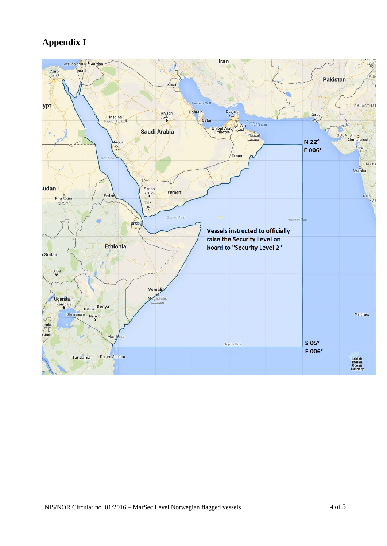# **Appendix I**